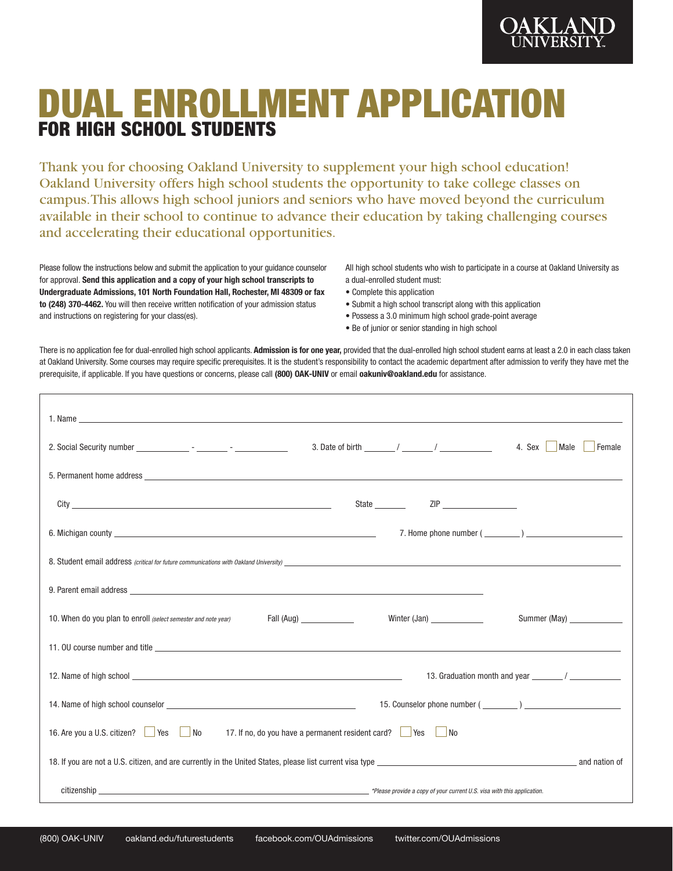

# DUAL ENROLLMENT APPLICATION FOR HIGH SCHOOL STUDENTS

Thank you for choosing Oakland University to supplement your high school education! Oakland University offers high school students the opportunity to take college classes on campus. This allows high school juniors and seniors who have moved beyond the curriculum available in their school to continue to advance their education by taking challenging courses and accelerating their educational opportunities.

Please follow the instructions below and submit the application to your guidance counselor for approval. **Send this application and a copy of your high school transcripts to Undergraduate Admissions, 101 North Foundation Hall, Rochester, MI 48309 or fax to (248) 370-4462.** You will then receive written notification of your admission status and instructions on registering for your class(es).

All high school students who wish to participate in a course at Oakland University as a dual-enrolled student must:

- Complete this application
- Submit a high school transcript along with this application
- Possess a 3.0 minimum high school grade-point average
- Be of junior or senior standing in high school

There is no application fee for dual-enrolled high school applicants. Admission is for one year, provided that the dual-enrolled high school student earns at least a 2.0 in each class taken at Oakland University. Some courses may require specific prerequisites. It is the student's responsibility to contact the academic department after admission to verify they have met the prerequisite, if applicable. If you have questions or concerns, please call **(800) OAK-UNIV** or email **oakuniv@oakland.edu** for assistance.

|                                                                                                                                                                                                                                |                            | 4. Sex<br>Male<br>Female      |
|--------------------------------------------------------------------------------------------------------------------------------------------------------------------------------------------------------------------------------|----------------------------|-------------------------------|
|                                                                                                                                                                                                                                |                            |                               |
|                                                                                                                                                                                                                                |                            |                               |
|                                                                                                                                                                                                                                |                            | 7. Home phone number $(\_\_)$ |
|                                                                                                                                                                                                                                |                            |                               |
|                                                                                                                                                                                                                                |                            |                               |
| 10. When do you plan to enroll (select semester and note year)                                                                                                                                                                 | Winter (Jan) _____________ | Summer (May) ______________   |
|                                                                                                                                                                                                                                |                            |                               |
| 13. Graduation month and year the state of the state of the state of the state of the state of the state of the state of the state of the state of the state of the state of the state of the state of the state of the state  |                            |                               |
|                                                                                                                                                                                                                                |                            |                               |
| 16. Are you a U.S. citizen? Ves No 17. If no, do you have a permanent resident card? Yes No                                                                                                                                    |                            |                               |
|                                                                                                                                                                                                                                |                            |                               |
| citizenship the state of the state of the state of the state of the state of the state of the state of the state of the state of the state of the state of the state of the state of the state of the state of the state of th |                            |                               |